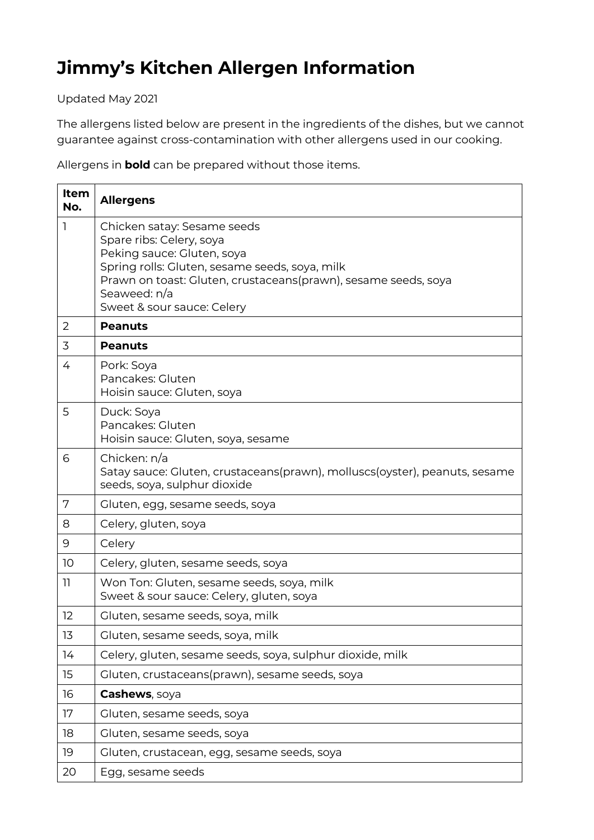## **Jimmy's Kitchen Allergen Information**

Updated May 2021

The allergens listed below are present in the ingredients of the dishes, but we cannot guarantee against cross-contamination with other allergens used in our cooking.

Allergens in **bold** can be prepared without those items.

| Item<br>No. | <b>Allergens</b>                                                                                                                                                                                                                                        |
|-------------|---------------------------------------------------------------------------------------------------------------------------------------------------------------------------------------------------------------------------------------------------------|
| ٦           | Chicken satay: Sesame seeds<br>Spare ribs: Celery, soya<br>Peking sauce: Gluten, soya<br>Spring rolls: Gluten, sesame seeds, soya, milk<br>Prawn on toast: Gluten, crustaceans(prawn), sesame seeds, soya<br>Seaweed: n/a<br>Sweet & sour sauce: Celery |
| 2           | <b>Peanuts</b>                                                                                                                                                                                                                                          |
| 3           | <b>Peanuts</b>                                                                                                                                                                                                                                          |
| 4           | Pork: Soya<br>Pancakes: Gluten<br>Hoisin sauce: Gluten, soya                                                                                                                                                                                            |
| 5           | Duck: Soya<br>Pancakes: Gluten<br>Hoisin sauce: Gluten, soya, sesame                                                                                                                                                                                    |
| 6           | Chicken: n/a<br>Satay sauce: Gluten, crustaceans(prawn), molluscs(oyster), peanuts, sesame<br>seeds, soya, sulphur dioxide                                                                                                                              |
| 7           | Gluten, egg, sesame seeds, soya                                                                                                                                                                                                                         |
| 8           | Celery, gluten, soya                                                                                                                                                                                                                                    |
| 9           | Celery                                                                                                                                                                                                                                                  |
| 10          | Celery, gluten, sesame seeds, soya                                                                                                                                                                                                                      |
| 11          | Won Ton: Gluten, sesame seeds, soya, milk<br>Sweet & sour sauce: Celery, gluten, soya                                                                                                                                                                   |
| 12          | Gluten, sesame seeds, soya, milk                                                                                                                                                                                                                        |
| 13          | Gluten, sesame seeds, soya, milk                                                                                                                                                                                                                        |
| 14          | Celery, gluten, sesame seeds, soya, sulphur dioxide, milk                                                                                                                                                                                               |
| 15          | Gluten, crustaceans(prawn), sesame seeds, soya                                                                                                                                                                                                          |
| 16          | Cashews, soya                                                                                                                                                                                                                                           |
| 17          | Gluten, sesame seeds, soya                                                                                                                                                                                                                              |
| 18          | Gluten, sesame seeds, soya                                                                                                                                                                                                                              |
| 19          | Gluten, crustacean, egg, sesame seeds, soya                                                                                                                                                                                                             |
| 20          | Egg, sesame seeds                                                                                                                                                                                                                                       |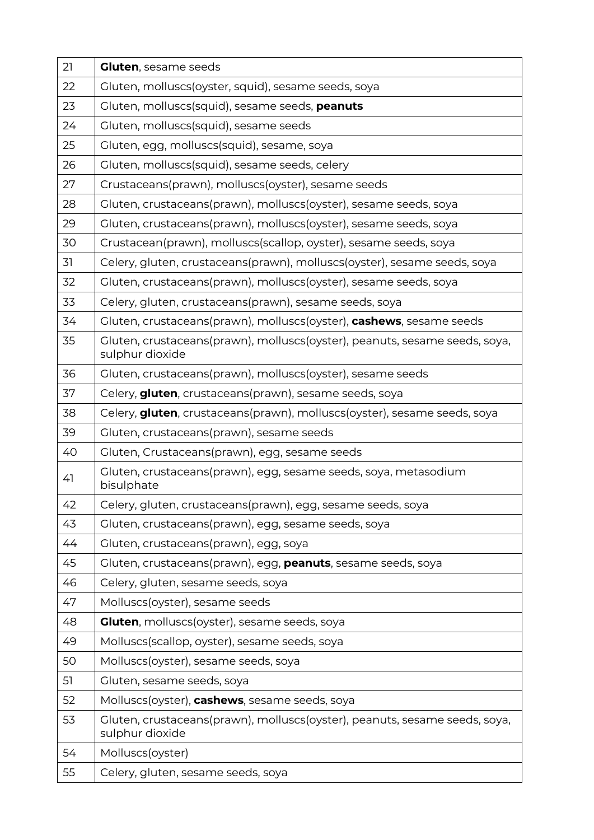| 21 | <b>Gluten, sesame seeds</b>                                                                   |
|----|-----------------------------------------------------------------------------------------------|
| 22 | Gluten, molluscs(oyster, squid), sesame seeds, soya                                           |
| 23 | Gluten, molluscs(squid), sesame seeds, peanuts                                                |
| 24 | Gluten, molluscs(squid), sesame seeds                                                         |
| 25 | Gluten, egg, molluscs(squid), sesame, soya                                                    |
| 26 | Gluten, molluscs(squid), sesame seeds, celery                                                 |
| 27 | Crustaceans(prawn), molluscs(oyster), sesame seeds                                            |
| 28 | Gluten, crustaceans(prawn), molluscs(oyster), sesame seeds, soya                              |
| 29 | Gluten, crustaceans(prawn), molluscs(oyster), sesame seeds, soya                              |
| 30 | Crustacean(prawn), molluscs(scallop, oyster), sesame seeds, soya                              |
| 31 | Celery, gluten, crustaceans(prawn), molluscs(oyster), sesame seeds, soya                      |
| 32 | Gluten, crustaceans(prawn), molluscs(oyster), sesame seeds, soya                              |
| 33 | Celery, gluten, crustaceans(prawn), sesame seeds, soya                                        |
| 34 | Gluten, crustaceans(prawn), molluscs(oyster), cashews, sesame seeds                           |
| 35 | Gluten, crustaceans(prawn), molluscs(oyster), peanuts, sesame seeds, soya,<br>sulphur dioxide |
| 36 | Gluten, crustaceans(prawn), molluscs(oyster), sesame seeds                                    |
| 37 | Celery, gluten, crustaceans(prawn), sesame seeds, soya                                        |
| 38 | Celery, gluten, crustaceans(prawn), molluscs(oyster), sesame seeds, soya                      |
| 39 | Gluten, crustaceans(prawn), sesame seeds                                                      |
| 40 | Gluten, Crustaceans(prawn), egg, sesame seeds                                                 |
| 41 | Gluten, crustaceans(prawn), egg, sesame seeds, soya, metasodium<br>bisulphate                 |
| 42 | Celery, gluten, crustaceans(prawn), egg, sesame seeds, soya                                   |
| 43 | Gluten, crustaceans(prawn), egg, sesame seeds, soya                                           |
| 44 | Gluten, crustaceans(prawn), egg, soya                                                         |
| 45 | Gluten, crustaceans(prawn), egg, peanuts, sesame seeds, soya                                  |
| 46 | Celery, gluten, sesame seeds, soya                                                            |
| 47 | Molluscs(oyster), sesame seeds                                                                |
| 48 | <b>Gluten</b> , molluscs(oyster), sesame seeds, soya                                          |
| 49 | Molluscs(scallop, oyster), sesame seeds, soya                                                 |
| 50 | Molluscs(oyster), sesame seeds, soya                                                          |
| 51 | Gluten, sesame seeds, soya                                                                    |
| 52 | Molluscs(oyster), cashews, sesame seeds, soya                                                 |
| 53 | Gluten, crustaceans(prawn), molluscs(oyster), peanuts, sesame seeds, soya,<br>sulphur dioxide |
| 54 | Molluscs(oyster)                                                                              |
| 55 | Celery, gluten, sesame seeds, soya                                                            |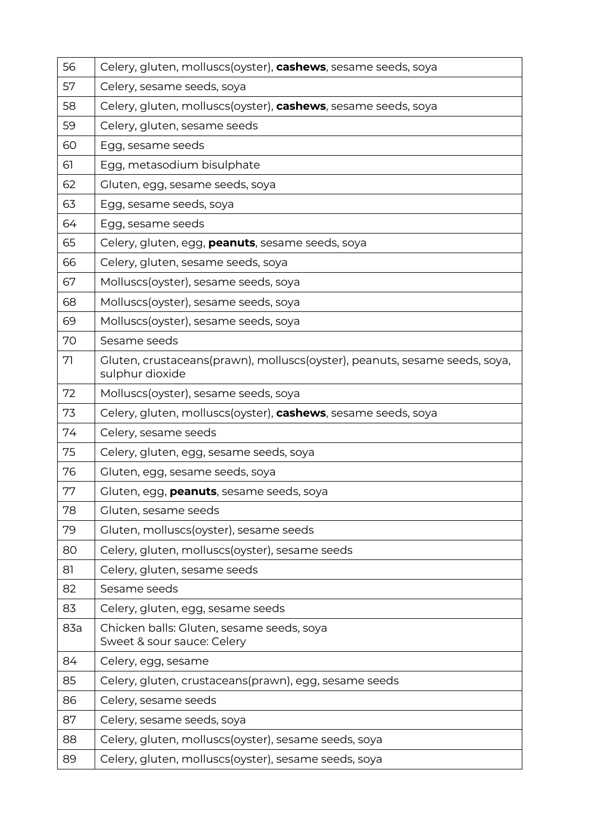| 56  | Celery, gluten, molluscs(oyster), cashews, sesame seeds, soya                                 |
|-----|-----------------------------------------------------------------------------------------------|
| 57  | Celery, sesame seeds, soya                                                                    |
| 58  | Celery, gluten, molluscs(oyster), cashews, sesame seeds, soya                                 |
| 59  | Celery, gluten, sesame seeds                                                                  |
| 60  | Egg, sesame seeds                                                                             |
| 61  | Egg, metasodium bisulphate                                                                    |
| 62  | Gluten, egg, sesame seeds, soya                                                               |
| 63  | Egg, sesame seeds, soya                                                                       |
| 64  | Egg, sesame seeds                                                                             |
| 65  | Celery, gluten, egg, peanuts, sesame seeds, soya                                              |
| 66  | Celery, gluten, sesame seeds, soya                                                            |
| 67  | Molluscs(oyster), sesame seeds, soya                                                          |
| 68  | Molluscs(oyster), sesame seeds, soya                                                          |
| 69  | Molluscs(oyster), sesame seeds, soya                                                          |
| 70  | Sesame seeds                                                                                  |
| 71  | Gluten, crustaceans(prawn), molluscs(oyster), peanuts, sesame seeds, soya,<br>sulphur dioxide |
| 72  | Molluscs(oyster), sesame seeds, soya                                                          |
| 73  | Celery, gluten, molluscs(oyster), cashews, sesame seeds, soya                                 |
| 74  | Celery, sesame seeds                                                                          |
| 75  | Celery, gluten, egg, sesame seeds, soya                                                       |
| 76  | Gluten, egg, sesame seeds, soya                                                               |
| 77  | Gluten, egg, <b>peanuts</b> , sesame seeds, soya                                              |
| 78  | Gluten, sesame seeds                                                                          |
| 79  | Gluten, molluscs(oyster), sesame seeds                                                        |
| 80  | Celery, gluten, molluscs(oyster), sesame seeds                                                |
| 81  | Celery, gluten, sesame seeds                                                                  |
| 82  | Sesame seeds                                                                                  |
| 83  | Celery, gluten, egg, sesame seeds                                                             |
| 83a | Chicken balls: Gluten, sesame seeds, soya<br>Sweet & sour sauce: Celery                       |
| 84  | Celery, egg, sesame                                                                           |
| 85  | Celery, gluten, crustaceans(prawn), egg, sesame seeds                                         |
| 86  | Celery, sesame seeds                                                                          |
| 87  | Celery, sesame seeds, soya                                                                    |
| 88  | Celery, gluten, molluscs(oyster), sesame seeds, soya                                          |
| 89  | Celery, gluten, molluscs(oyster), sesame seeds, soya                                          |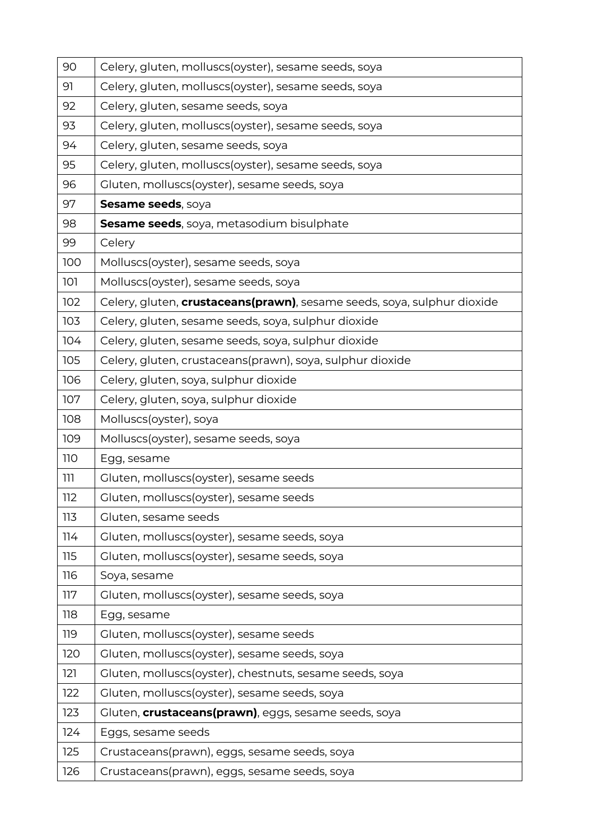| 90  | Celery, gluten, molluscs(oyster), sesame seeds, soya                            |
|-----|---------------------------------------------------------------------------------|
| 91  | Celery, gluten, molluscs(oyster), sesame seeds, soya                            |
| 92  | Celery, gluten, sesame seeds, soya                                              |
| 93  | Celery, gluten, molluscs(oyster), sesame seeds, soya                            |
| 94  | Celery, gluten, sesame seeds, soya                                              |
| 95  | Celery, gluten, molluscs(oyster), sesame seeds, soya                            |
| 96  | Gluten, molluscs(oyster), sesame seeds, soya                                    |
| 97  | Sesame seeds, soya                                                              |
| 98  | Sesame seeds, soya, metasodium bisulphate                                       |
| 99  | Celery                                                                          |
| 100 | Molluscs(oyster), sesame seeds, soya                                            |
| 101 | Molluscs(oyster), sesame seeds, soya                                            |
| 102 | Celery, gluten, <i>crustaceans(prawn)</i> , sesame seeds, soya, sulphur dioxide |
| 103 | Celery, gluten, sesame seeds, soya, sulphur dioxide                             |
| 104 | Celery, gluten, sesame seeds, soya, sulphur dioxide                             |
| 105 | Celery, gluten, crustaceans(prawn), soya, sulphur dioxide                       |
| 106 | Celery, gluten, soya, sulphur dioxide                                           |
| 107 | Celery, gluten, soya, sulphur dioxide                                           |
| 108 | Molluscs(oyster), soya                                                          |
| 109 | Molluscs(oyster), sesame seeds, soya                                            |
| 110 | Egg, sesame                                                                     |
| ווו | Gluten, molluscs(oyster), sesame seeds                                          |
| 112 | Gluten, molluscs(oyster), sesame seeds                                          |
| 113 | Gluten, sesame seeds                                                            |
| 114 | Gluten, molluscs(oyster), sesame seeds, soya                                    |
| 115 | Gluten, molluscs(oyster), sesame seeds, soya                                    |
| 116 | Soya, sesame                                                                    |
| 117 | Gluten, molluscs(oyster), sesame seeds, soya                                    |
| 118 | Egg, sesame                                                                     |
| 119 | Gluten, molluscs(oyster), sesame seeds                                          |
| 120 | Gluten, molluscs(oyster), sesame seeds, soya                                    |
| 121 | Gluten, molluscs(oyster), chestnuts, sesame seeds, soya                         |
| 122 | Gluten, molluscs(oyster), sesame seeds, soya                                    |
| 123 | Gluten, <b>crustaceans(prawn)</b> , eggs, sesame seeds, soya                    |
| 124 | Eggs, sesame seeds                                                              |
| 125 | Crustaceans(prawn), eggs, sesame seeds, soya                                    |
| 126 | Crustaceans(prawn), eggs, sesame seeds, soya                                    |